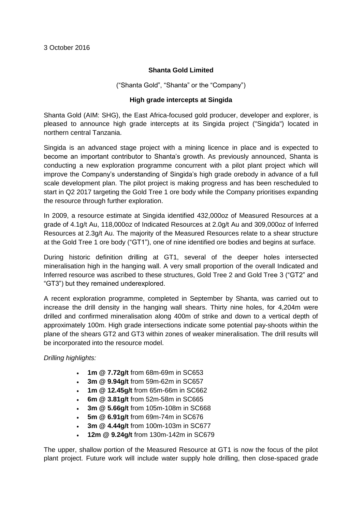# **Shanta Gold Limited**

("Shanta Gold", "Shanta" or the "Company")

## **High grade intercepts at Singida**

Shanta Gold (AIM: SHG), the East Africa-focused gold producer, developer and explorer, is pleased to announce high grade intercepts at its Singida project ("Singida") located in northern central Tanzania.

Singida is an advanced stage project with a mining licence in place and is expected to become an important contributor to Shanta's growth. As previously announced, Shanta is conducting a new exploration programme concurrent with a pilot plant project which will improve the Company's understanding of Singida's high grade orebody in advance of a full scale development plan. The pilot project is making progress and has been rescheduled to start in Q2 2017 targeting the Gold Tree 1 ore body while the Company prioritises expanding the resource through further exploration.

In 2009, a resource estimate at Singida identified 432,000oz of Measured Resources at a grade of 4.1g/t Au, 118,000oz of Indicated Resources at 2.0g/t Au and 309,000oz of Inferred Resources at 2.3g/t Au. The majority of the Measured Resources relate to a shear structure at the Gold Tree 1 ore body ("GT1"), one of nine identified ore bodies and begins at surface.

During historic definition drilling at GT1, several of the deeper holes intersected mineralisation high in the hanging wall. A very small proportion of the overall Indicated and Inferred resource was ascribed to these structures, Gold Tree 2 and Gold Tree 3 ("GT2" and "GT3") but they remained underexplored.

A recent exploration programme, completed in September by Shanta, was carried out to increase the drill density in the hanging wall shears. Thirty nine holes, for 4,204m were drilled and confirmed mineralisation along 400m of strike and down to a vertical depth of approximately 100m. High grade intersections indicate some potential pay-shoots within the plane of the shears GT2 and GT3 within zones of weaker mineralisation. The drill results will be incorporated into the resource model.

*Drilling highlights:* 

- **1m @ 7.72g/t** from 68m-69m in SC653
- **3m @ 9.94g/t** from 59m-62m in SC657
- **1m @ 12.45g/t** from 65m-66m in SC662
- **6m @ 3.81g/t** from 52m-58m in SC665
- **3m @ 5.66g/t** from 105m-108m in SC668
- **5m @ 6.91g/t** from 69m-74m in SC676
- **3m @ 4.44g/t** from 100m-103m in SC677
- **12m @ 9.24g/t** from 130m-142m in SC679

The upper, shallow portion of the Measured Resource at GT1 is now the focus of the pilot plant project. Future work will include water supply hole drilling, then close-spaced grade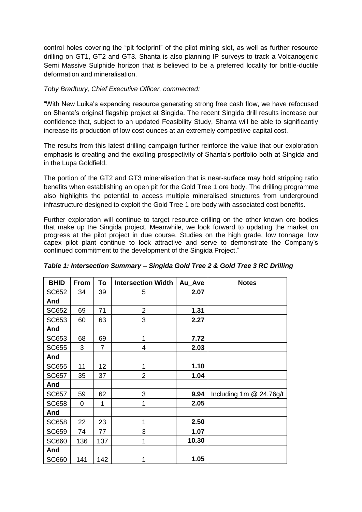control holes covering the "pit footprint" of the pilot mining slot, as well as further resource drilling on GT1, GT2 and GT3. Shanta is also planning IP surveys to track a Volcanogenic Semi Massive Sulphide horizon that is believed to be a preferred locality for brittle-ductile deformation and mineralisation.

## *Toby Bradbury, Chief Executive Officer, commented:*

"With New Luika's expanding resource generating strong free cash flow, we have refocused on Shanta's original flagship project at Singida. The recent Singida drill results increase our confidence that, subject to an updated Feasibility Study, Shanta will be able to significantly increase its production of low cost ounces at an extremely competitive capital cost.

The results from this latest drilling campaign further reinforce the value that our exploration emphasis is creating and the exciting prospectivity of Shanta's portfolio both at Singida and in the Lupa Goldfield.

The portion of the GT2 and GT3 mineralisation that is near-surface may hold stripping ratio benefits when establishing an open pit for the Gold Tree 1 ore body. The drilling programme also highlights the potential to access multiple mineralised structures from underground infrastructure designed to exploit the Gold Tree 1 ore body with associated cost benefits.

Further exploration will continue to target resource drilling on the other known ore bodies that make up the Singida project. Meanwhile, we look forward to updating the market on progress at the pilot project in due course. Studies on the high grade, low tonnage, low capex pilot plant continue to look attractive and serve to demonstrate the Company's continued commitment to the development of the Singida Project."

| <b>BHID</b>  | <b>From</b> | To  | <b>Intersection Width</b> | Au Ave | <b>Notes</b>            |
|--------------|-------------|-----|---------------------------|--------|-------------------------|
| SC652        | 34          | 39  | 5                         | 2.07   |                         |
| And          |             |     |                           |        |                         |
| SC652        | 69          | 71  | $\overline{2}$            | 1.31   |                         |
| SC653        | 60          | 63  | 3                         | 2.27   |                         |
| And          |             |     |                           |        |                         |
| SC653        | 68          | 69  | 1                         | 7.72   |                         |
| <b>SC655</b> | 3           | 7   | 4                         | 2.03   |                         |
| And          |             |     |                           |        |                         |
| <b>SC655</b> | 11          | 12  | 1                         | 1.10   |                         |
| <b>SC657</b> | 35          | 37  | $\overline{2}$            | 1.04   |                         |
| And          |             |     |                           |        |                         |
| SC657        | 59          | 62  | 3                         | 9.94   | Including 1m @ 24.76g/t |
| <b>SC658</b> | 0           | 1   | 1                         | 2.05   |                         |
| And          |             |     |                           |        |                         |
| <b>SC658</b> | 22          | 23  | 1                         | 2.50   |                         |
| <b>SC659</b> | 74          | 77  | 3                         | 1.07   |                         |
| <b>SC660</b> | 136         | 137 | 1                         | 10.30  |                         |
| And          |             |     |                           |        |                         |
| <b>SC660</b> | 141         | 142 | 1                         | 1.05   |                         |

## *Table 1: Intersection Summary – Singida Gold Tree 2 & Gold Tree 3 RC Drilling*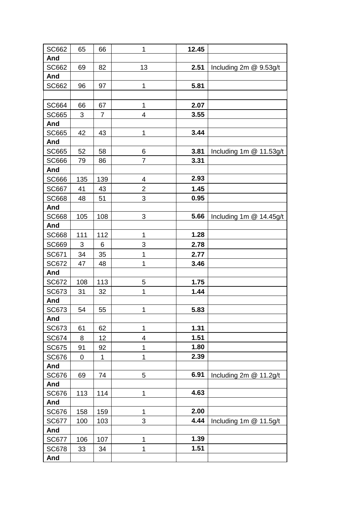| SC662        | 65  | 66             | 1                        | 12.45 |                         |
|--------------|-----|----------------|--------------------------|-------|-------------------------|
| And          |     |                |                          |       |                         |
| <b>SC662</b> | 69  | 82             | 13                       | 2.51  | Including 2m @ 9.53g/t  |
| And          |     |                |                          |       |                         |
| SC662        | 96  | 97             | 1                        | 5.81  |                         |
|              |     |                |                          |       |                         |
| SC664        | 66  | 67             | $\mathbf{1}$             | 2.07  |                         |
| <b>SC665</b> | 3   | $\overline{7}$ | $\overline{\mathbf{4}}$  | 3.55  |                         |
| And          |     |                |                          |       |                         |
| <b>SC665</b> | 42  | 43             | 1                        | 3.44  |                         |
| And          |     |                |                          |       |                         |
| SC665        | 52  | 58             | 6                        | 3.81  | Including 1m @ 11.53g/t |
| <b>SC666</b> | 79  | 86             | $\overline{7}$           | 3.31  |                         |
| And          |     |                |                          |       |                         |
| SC666        | 135 | 139            | 4                        | 2.93  |                         |
| <b>SC667</b> | 41  | 43             | $\overline{2}$           | 1.45  |                         |
| <b>SC668</b> | 48  | 51             | 3                        | 0.95  |                         |
| And          |     |                |                          |       |                         |
| <b>SC668</b> | 105 | 108            | 3                        | 5.66  | Including 1m @ 14.45g/t |
| And          |     |                |                          |       |                         |
| <b>SC668</b> | 111 | 112            | 1                        | 1.28  |                         |
| SC669        | 3   | 6              | 3                        | 2.78  |                         |
| SC671        | 34  | 35             | 1                        | 2.77  |                         |
| <b>SC672</b> | 47  | 48             | 1                        | 3.46  |                         |
| And          |     |                |                          |       |                         |
| SC672        | 108 | 113            | 5                        | 1.75  |                         |
| SC673        | 31  | 32             | 1                        | 1.44  |                         |
| And          |     |                |                          |       |                         |
| SC673        | 54  | 55             | $\mathbf 1$              | 5.83  |                         |
| And          |     |                |                          |       |                         |
| SC673        | 61  | 62             | 1                        | 1.31  |                         |
| <b>SC674</b> | 8   | 12             | $\overline{\mathcal{A}}$ | 1.51  |                         |
| <b>SC675</b> | 91  | 92             | 1                        | 1.80  |                         |
| <b>SC676</b> | 0   | 1              | 1                        | 2.39  |                         |
| And          |     |                |                          |       |                         |
| <b>SC676</b> | 69  | 74             | 5                        | 6.91  | Including 2m @ 11.2g/t  |
| And          |     |                |                          |       |                         |
| <b>SC676</b> | 113 | 114            | 1                        | 4.63  |                         |
| And          |     |                |                          |       |                         |
| <b>SC676</b> | 158 | 159            | 1                        | 2.00  |                         |
| <b>SC677</b> | 100 | 103            | 3                        | 4.44  | Including 1m @ 11.5g/t  |
| And          |     |                |                          |       |                         |
| <b>SC677</b> | 106 | 107            | 1                        | 1.39  |                         |
| <b>SC678</b> | 33  | 34             | 1                        | 1.51  |                         |
| And          |     |                |                          |       |                         |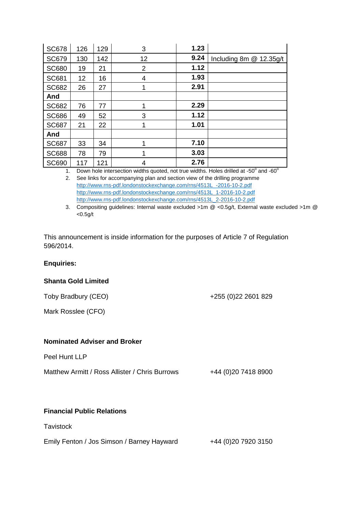| <b>SC678</b> | 126 | 129 | 3               | 1.23 |                         |
|--------------|-----|-----|-----------------|------|-------------------------|
| <b>SC679</b> | 130 | 142 | 12 <sup>2</sup> | 9.24 | Including 8m @ 12.35g/t |
| <b>SC680</b> | 19  | 21  | 2               | 1.12 |                         |
| <b>SC681</b> | 12  | 16  | 4               | 1.93 |                         |
| <b>SC682</b> | 26  | 27  |                 | 2.91 |                         |
| And          |     |     |                 |      |                         |
| <b>SC682</b> | 76  | 77  | 1               | 2.29 |                         |
| <b>SC686</b> | 49  | 52  | 3               | 1.12 |                         |
| <b>SC687</b> | 21  | 22  |                 | 1.01 |                         |
| And          |     |     |                 |      |                         |
| <b>SC687</b> | 33  | 34  |                 | 7.10 |                         |
| <b>SC688</b> | 78  | 79  |                 | 3.03 |                         |
| <b>SC690</b> | 117 | 121 | 4               | 2.76 |                         |

1. Down hole intersection widths quoted, not true widths. Holes drilled at -50 $^{\circ}$  and -60 $^{\circ}$ 

2. See links for accompanying plan and section view of the drilling programme [http://www.rns-pdf.londonstockexchange.com/rns/4513L\\_-2016-10-2.pdf](http://www.rns-pdf.londonstockexchange.com/rns/4513L_-2016-10-2.pdf) [http://www.rns-pdf.londonstockexchange.com/rns/4513L\\_1-2016-10-2.pdf](http://www.rns-pdf.londonstockexchange.com/rns/4513L_1-2016-10-2.pdf) [http://www.rns-pdf.londonstockexchange.com/rns/4513L\\_2-2016-10-2.pdf](http://www.rns-pdf.londonstockexchange.com/rns/4513L_2-2016-10-2.pdf)

3. Compositing guidelines: Internal waste excluded >1m @ <0.5g/t, External waste excluded >1m @  $<$ 0.5g/t

+255 (0)22 2601 829

This announcement is inside information for the purposes of Article 7 of Regulation 596/2014.

## **Enquiries:**

## **Shanta Gold Limited**

|  | Toby Bradbury (CEO) |  |
|--|---------------------|--|
|--|---------------------|--|

Mark Rosslee (CFO)

#### **Nominated Adviser and Broker**

| Peel Hunt LLP                                  |                      |
|------------------------------------------------|----------------------|
| Matthew Armitt / Ross Allister / Chris Burrows | +44 (0) 20 7418 8900 |

## **Financial Public Relations**

**Tavistock** 

| Emily Fenton / Jos Simson / Barney Hayward | +44 (0)20 7920 3150 |
|--------------------------------------------|---------------------|
|--------------------------------------------|---------------------|